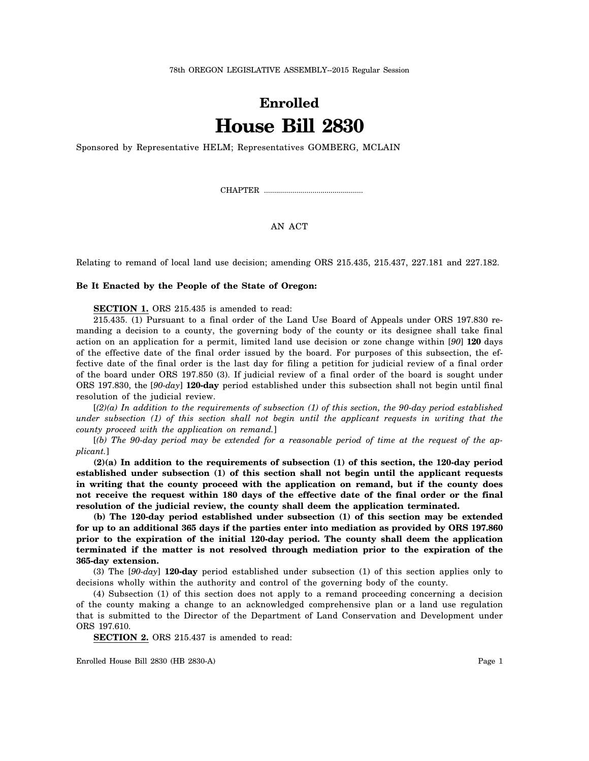## **Enrolled House Bill 2830**

Sponsored by Representative HELM; Representatives GOMBERG, MCLAIN

CHAPTER .................................................

AN ACT

Relating to remand of local land use decision; amending ORS 215.435, 215.437, 227.181 and 227.182.

## **Be It Enacted by the People of the State of Oregon:**

**SECTION 1.** ORS 215.435 is amended to read:

215.435. (1) Pursuant to a final order of the Land Use Board of Appeals under ORS 197.830 remanding a decision to a county, the governing body of the county or its designee shall take final action on an application for a permit, limited land use decision or zone change within [*90*] **120** days of the effective date of the final order issued by the board. For purposes of this subsection, the effective date of the final order is the last day for filing a petition for judicial review of a final order of the board under ORS 197.850 (3). If judicial review of a final order of the board is sought under ORS 197.830, the [*90-day*] **120-day** period established under this subsection shall not begin until final resolution of the judicial review.

[*(2)(a) In addition to the requirements of subsection (1) of this section, the 90-day period established under subsection (1) of this section shall not begin until the applicant requests in writing that the county proceed with the application on remand.*]

[*(b) The 90-day period may be extended for a reasonable period of time at the request of the applicant.*]

**(2)(a) In addition to the requirements of subsection (1) of this section, the 120-day period established under subsection (1) of this section shall not begin until the applicant requests in writing that the county proceed with the application on remand, but if the county does not receive the request within 180 days of the effective date of the final order or the final resolution of the judicial review, the county shall deem the application terminated.**

**(b) The 120-day period established under subsection (1) of this section may be extended for up to an additional 365 days if the parties enter into mediation as provided by ORS 197.860 prior to the expiration of the initial 120-day period. The county shall deem the application terminated if the matter is not resolved through mediation prior to the expiration of the 365-day extension.**

(3) The [*90-day*] **120-day** period established under subsection (1) of this section applies only to decisions wholly within the authority and control of the governing body of the county.

(4) Subsection (1) of this section does not apply to a remand proceeding concerning a decision of the county making a change to an acknowledged comprehensive plan or a land use regulation that is submitted to the Director of the Department of Land Conservation and Development under ORS 197.610.

**SECTION 2.** ORS 215.437 is amended to read:

Enrolled House Bill 2830 (HB 2830-A) Page 1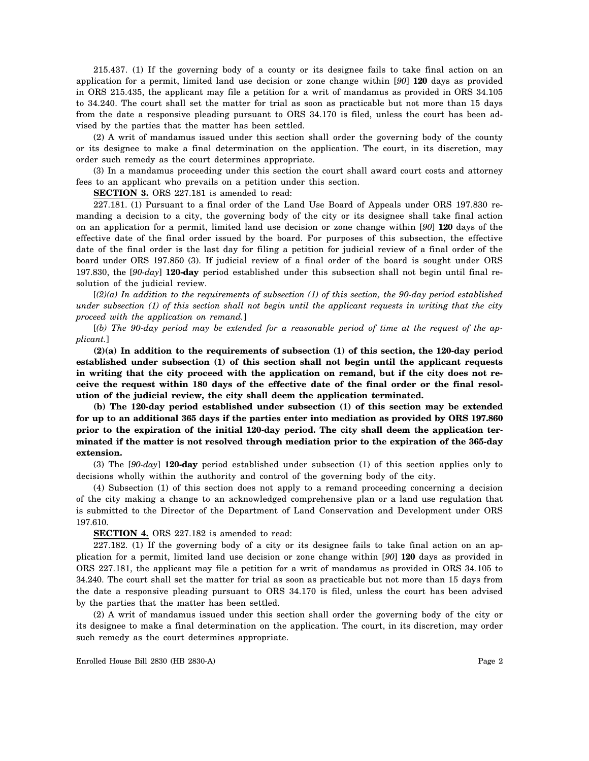215.437. (1) If the governing body of a county or its designee fails to take final action on an application for a permit, limited land use decision or zone change within [*90*] **120** days as provided in ORS 215.435, the applicant may file a petition for a writ of mandamus as provided in ORS 34.105 to 34.240. The court shall set the matter for trial as soon as practicable but not more than 15 days from the date a responsive pleading pursuant to ORS 34.170 is filed, unless the court has been advised by the parties that the matter has been settled.

(2) A writ of mandamus issued under this section shall order the governing body of the county or its designee to make a final determination on the application. The court, in its discretion, may order such remedy as the court determines appropriate.

(3) In a mandamus proceeding under this section the court shall award court costs and attorney fees to an applicant who prevails on a petition under this section.

**SECTION 3.** ORS 227.181 is amended to read:

227.181. (1) Pursuant to a final order of the Land Use Board of Appeals under ORS 197.830 remanding a decision to a city, the governing body of the city or its designee shall take final action on an application for a permit, limited land use decision or zone change within [*90*] **120** days of the effective date of the final order issued by the board. For purposes of this subsection, the effective date of the final order is the last day for filing a petition for judicial review of a final order of the board under ORS 197.850 (3). If judicial review of a final order of the board is sought under ORS 197.830, the [*90-day*] **120-day** period established under this subsection shall not begin until final resolution of the judicial review.

[*(2)(a) In addition to the requirements of subsection (1) of this section, the 90-day period established under subsection (1) of this section shall not begin until the applicant requests in writing that the city proceed with the application on remand.*]

[*(b) The 90-day period may be extended for a reasonable period of time at the request of the applicant.*]

**(2)(a) In addition to the requirements of subsection (1) of this section, the 120-day period established under subsection (1) of this section shall not begin until the applicant requests in writing that the city proceed with the application on remand, but if the city does not receive the request within 180 days of the effective date of the final order or the final resolution of the judicial review, the city shall deem the application terminated.**

**(b) The 120-day period established under subsection (1) of this section may be extended for up to an additional 365 days if the parties enter into mediation as provided by ORS 197.860 prior to the expiration of the initial 120-day period. The city shall deem the application terminated if the matter is not resolved through mediation prior to the expiration of the 365-day extension.**

(3) The [*90-day*] **120-day** period established under subsection (1) of this section applies only to decisions wholly within the authority and control of the governing body of the city.

(4) Subsection (1) of this section does not apply to a remand proceeding concerning a decision of the city making a change to an acknowledged comprehensive plan or a land use regulation that is submitted to the Director of the Department of Land Conservation and Development under ORS 197.610.

**SECTION 4.** ORS 227.182 is amended to read:

227.182. (1) If the governing body of a city or its designee fails to take final action on an application for a permit, limited land use decision or zone change within [*90*] **120** days as provided in ORS 227.181, the applicant may file a petition for a writ of mandamus as provided in ORS 34.105 to 34.240. The court shall set the matter for trial as soon as practicable but not more than 15 days from the date a responsive pleading pursuant to ORS 34.170 is filed, unless the court has been advised by the parties that the matter has been settled.

(2) A writ of mandamus issued under this section shall order the governing body of the city or its designee to make a final determination on the application. The court, in its discretion, may order such remedy as the court determines appropriate.